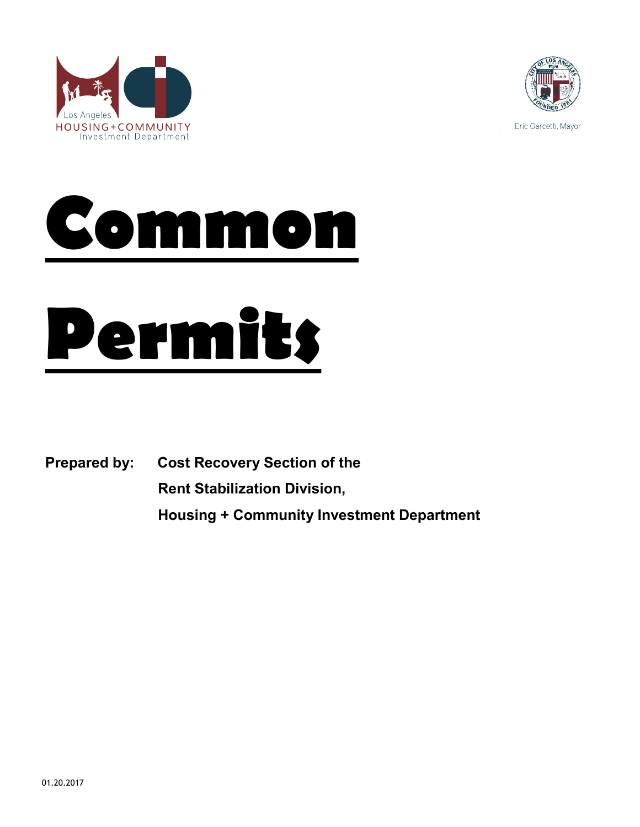



Eric Garcetti, Mayor





**Prepared by: Cost Recovery Section of the**

**Rent Stabilization Division,**

**Housing + Community Investment Department**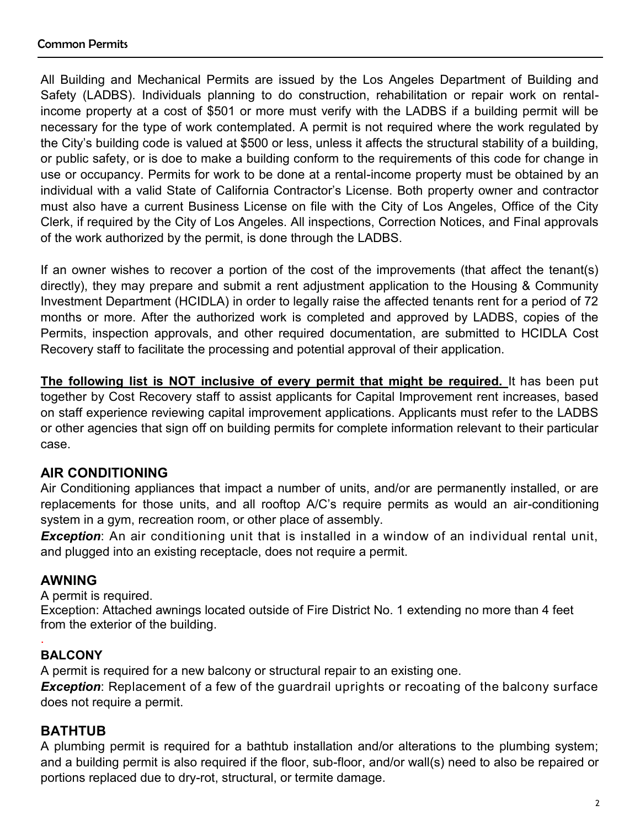All Building and Mechanical Permits are issued by the Los Angeles Department of Building and Safety (LADBS). Individuals planning to do construction, rehabilitation or repair work on rentalincome property at a cost of \$501 or more must verify with the LADBS if a building permit will be necessary for the type of work contemplated. A permit is not required where the work regulated by the City's building code is valued at \$500 or less, unless it affects the structural stability of a building, or public safety, or is doe to make a building conform to the requirements of this code for change in use or occupancy. Permits for work to be done at a rental-income property must be obtained by an individual with a valid State of California Contractor's License. Both property owner and contractor must also have a current Business License on file with the City of Los Angeles, Office of the City Clerk, if required by the City of Los Angeles. All inspections, Correction Notices, and Final approvals of the work authorized by the permit, is done through the LADBS.

If an owner wishes to recover a portion of the cost of the improvements (that affect the tenant(s) directly), they may prepare and submit a rent adjustment application to the Housing & Community Investment Department (HCIDLA) in order to legally raise the affected tenants rent for a period of 72 months or more. After the authorized work is completed and approved by LADBS, copies of the Permits, inspection approvals, and other required documentation, are submitted to HCIDLA Cost Recovery staff to facilitate the processing and potential approval of their application.

**The following list is NOT inclusive of every permit that might be required.** It has been put together by Cost Recovery staff to assist applicants for Capital Improvement rent increases, based on staff experience reviewing capital improvement applications. Applicants must refer to the LADBS or other agencies that sign off on building permits for complete information relevant to their particular case.

# **AIR CONDITIONING**

Air Conditioning appliances that impact a number of units, and/or are permanently installed, or are replacements for those units, and all rooftop A/C's require permits as would an air-conditioning system in a gym, recreation room, or other place of assembly.

*Exception*: An air conditioning unit that is installed in a window of an individual rental unit, and plugged into an existing receptacle, does not require a permit.

# **AWNING**

A permit is required.

Exception: Attached awnings located outside of Fire District No. 1 extending no more than 4 feet from the exterior of the building.

# **BALCONY**

.

A permit is required for a new balcony or structural repair to an existing one.

**Exception**: Replacement of a few of the guardrail uprights or recoating of the balcony surface does not require a permit.

# **BATHTUB**

A plumbing permit is required for a bathtub installation and/or alterations to the plumbing system; and a building permit is also required if the floor, sub-floor, and/or wall(s) need to also be repaired or portions replaced due to dry-rot, structural, or termite damage.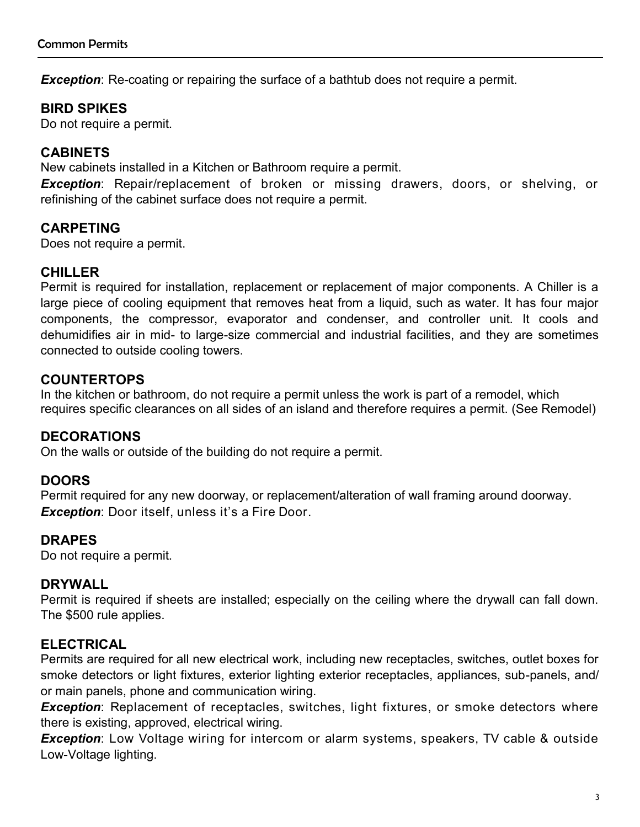**Exception**: Re-coating or repairing the surface of a bathtub does not require a permit.

# **BIRD SPIKES**

Do not require a permit.

## **CABINETS**

New cabinets installed in a Kitchen or Bathroom require a permit.

*Exception*: Repair/replacement of broken or missing drawers, doors, or shelving, or refinishing of the cabinet surface does not require a permit.

## **CARPETING**

Does not require a permit.

## **CHILLER**

Permit is required for installation, replacement or replacement of major components. A Chiller is a large piece of cooling equipment that removes heat from a liquid, such as water. It has four major components, the compressor, evaporator and condenser, and controller unit. It cools and dehumidifies air in mid- to large-size commercial and industrial facilities, and they are sometimes connected to outside cooling towers.

## **COUNTERTOPS**

In the kitchen or bathroom, do not require a permit unless the work is part of a remodel, which requires specific clearances on all sides of an island and therefore requires a permit. (See Remodel)

## **DECORATIONS**

On the walls or outside of the building do not require a permit.

## **DOORS**

Permit required for any new doorway, or replacement/alteration of wall framing around doorway. *Exception*: Door itself, unless it's a Fire Door.

## **DRAPES**

Do not require a permit.

## **DRYWALL**

Permit is required if sheets are installed; especially on the ceiling where the drywall can fall down. The \$500 rule applies.

## **ELECTRICAL**

Permits are required for all new electrical work, including new receptacles, switches, outlet boxes for smoke detectors or light fixtures, exterior lighting exterior receptacles, appliances, sub-panels, and/ or main panels, phone and communication wiring.

*Exception*: Replacement of receptacles, switches, light fixtures, or smoke detectors where there is existing, approved, electrical wiring.

*Exception*: Low Voltage wiring for intercom or alarm systems, speakers, TV cable & outside Low-Voltage lighting.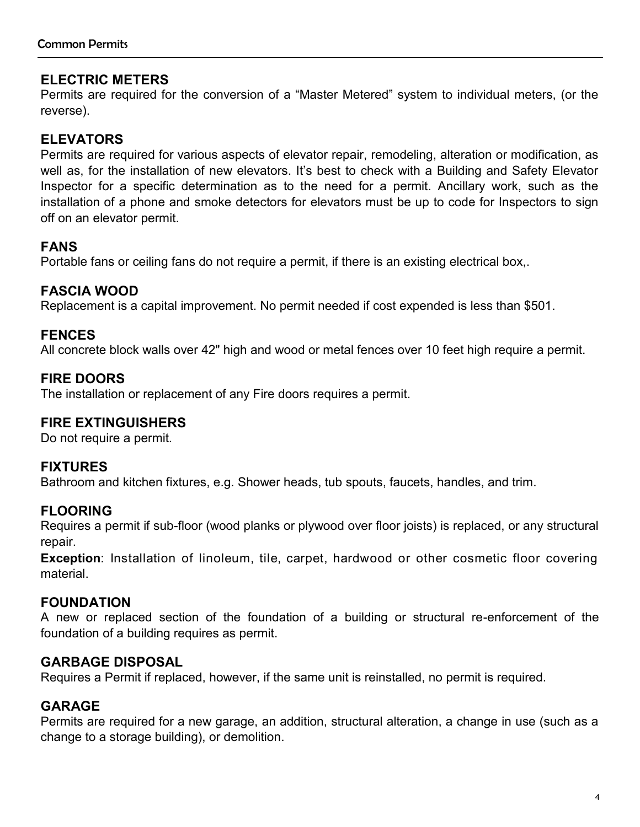# **ELECTRIC METERS**

Permits are required for the conversion of a "Master Metered" system to individual meters, (or the reverse).

# **ELEVATORS**

Permits are required for various aspects of elevator repair, remodeling, alteration or modification, as well as, for the installation of new elevators. It's best to check with a Building and Safety Elevator Inspector for a specific determination as to the need for a permit. Ancillary work, such as the installation of a phone and smoke detectors for elevators must be up to code for Inspectors to sign off on an elevator permit.

## **FANS**

Portable fans or ceiling fans do not require a permit, if there is an existing electrical box,.

## **FASCIA WOOD**

Replacement is a capital improvement. No permit needed if cost expended is less than \$501.

## **FENCES**

All concrete block walls over 42" high and wood or metal fences over 10 feet high require a permit.

## **FIRE DOORS**

The installation or replacement of any Fire doors requires a permit.

## **FIRE EXTINGUISHERS**

Do not require a permit.

## **FIXTURES**

Bathroom and kitchen fixtures, e.g. Shower heads, tub spouts, faucets, handles, and trim.

## **FLOORING**

Requires a permit if sub-floor (wood planks or plywood over floor joists) is replaced, or any structural repair.

**Exception**: Installation of linoleum, tile, carpet, hardwood or other cosmetic floor covering material.

## **FOUNDATION**

A new or replaced section of the foundation of a building or structural re-enforcement of the foundation of a building requires as permit.

## **GARBAGE DISPOSAL**

Requires a Permit if replaced, however, if the same unit is reinstalled, no permit is required.

## **GARAGE**

Permits are required for a new garage, an addition, structural alteration, a change in use (such as a change to a storage building), or demolition.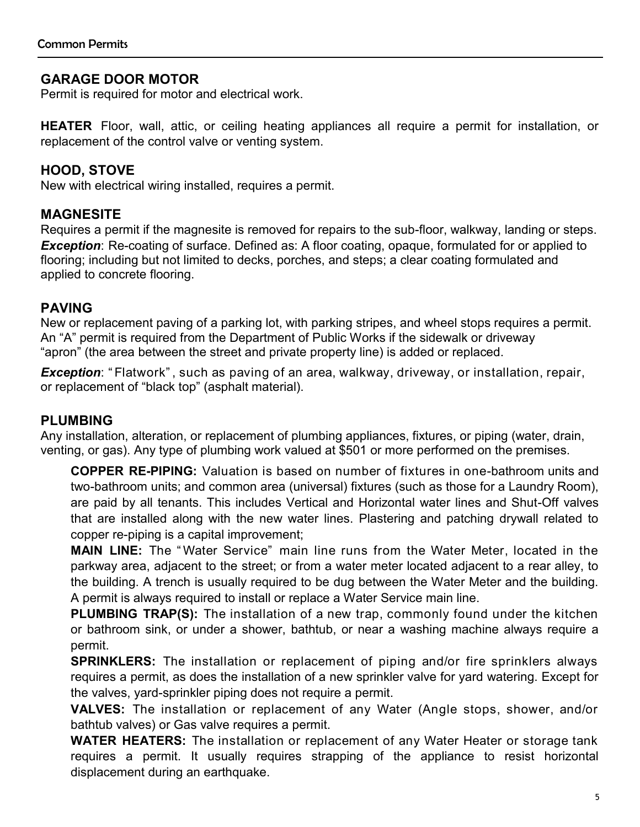## **GARAGE DOOR MOTOR**

Permit is required for motor and electrical work.

**HEATER** Floor, wall, attic, or ceiling heating appliances all require a permit for installation, or replacement of the control valve or venting system.

## **HOOD, STOVE**

New with electrical wiring installed, requires a permit.

## **MAGNESITE**

Requires a permit if the magnesite is removed for repairs to the sub-floor, walkway, landing or steps. **Exception**: Re-coating of surface. Defined as: A floor coating, opaque, formulated for or applied to flooring; including but not limited to decks, porches, and steps; a clear coating formulated and applied to concrete flooring.

#### **PAVING**

New or replacement paving of a parking lot, with parking stripes, and wheel stops requires a permit. An "A" permit is required from the Department of Public Works if the sidewalk or driveway "apron" (the area between the street and private property line) is added or replaced.

*Exception*: " Flatwork" , such as paving of an area, walkway, driveway, or installation, repair, or replacement of "black top" (asphalt material).

## **PLUMBING**

Any installation, alteration, or replacement of plumbing appliances, fixtures, or piping (water, drain, venting, or gas). Any type of plumbing work valued at \$501 or more performed on the premises.

**COPPER RE-PIPING:** Valuation is based on number of fixtures in one-bathroom units and two-bathroom units; and common area (universal) fixtures (such as those for a Laundry Room), are paid by all tenants. This includes Vertical and Horizontal water lines and Shut-Off valves that are installed along with the new water lines. Plastering and patching drywall related to copper re-piping is a capital improvement;

**MAIN LINE:** The " Water Service" main line runs from the Water Meter, located in the parkway area, adjacent to the street; or from a water meter located adjacent to a rear alley, to the building. A trench is usually required to be dug between the Water Meter and the building. A permit is always required to install or replace a Water Service main line.

**PLUMBING TRAP(S):** The installation of a new trap, commonly found under the kitchen or bathroom sink, or under a shower, bathtub, or near a washing machine always require a permit.

**SPRINKLERS:** The installation or replacement of piping and/or fire sprinklers always requires a permit, as does the installation of a new sprinkler valve for yard watering. Except for the valves, yard-sprinkler piping does not require a permit.

**VALVES:** The installation or replacement of any Water (Angle stops, shower, and/or bathtub valves) or Gas valve requires a permit.

**WATER HEATERS:** The installation or replacement of any Water Heater or storage tank requires a permit. It usually requires strapping of the appliance to resist horizontal displacement during an earthquake.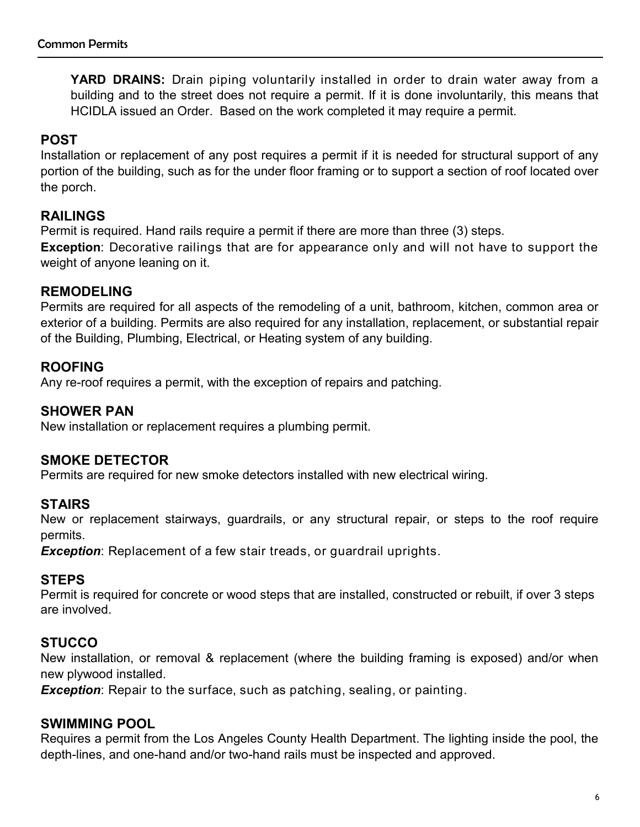**YARD DRAINS:** Drain piping voluntarily installed in order to drain water away from a building and to the street does not require a permit. If it is done involuntarily, this means that HCIDLA issued an Order. Based on the work completed it may require a permit.

## **POST**

Installation or replacement of any post requires a permit if it is needed for structural support of any portion of the building, such as for the under floor framing or to support a section of roof located over the porch.

# **RAILINGS**

Permit is required. Hand rails require a permit if there are more than three (3) steps.

**Exception**: Decorative railings that are for appearance only and will not have to support the weight of anyone leaning on it.

## **REMODELING**

Permits are required for all aspects of the remodeling of a unit, bathroom, kitchen, common area or exterior of a building. Permits are also required for any installation, replacement, or substantial repair of the Building, Plumbing, Electrical, or Heating system of any building.

## **ROOFING**

Any re-roof requires a permit, with the exception of repairs and patching.

## **SHOWER PAN**

New installation or replacement requires a plumbing permit.

# **SMOKE DETECTOR**

Permits are required for new smoke detectors installed with new electrical wiring.

# **STAIRS**

New or replacement stairways, guardrails, or any structural repair, or steps to the roof require permits.

*Exception*: Replacement of a few stair treads, or guardrail uprights.

# **STEPS**

Permit is required for concrete or wood steps that are installed, constructed or rebuilt, if over 3 steps are involved.

# **STUCCO**

New installation, or removal & replacement (where the building framing is exposed) and/or when new plywood installed.

*Exception*: Repair to the surface, such as patching, sealing, or painting.

## **SWIMMING POOL**

Requires a permit from the Los Angeles County Health Department. The lighting inside the pool, the depth-lines, and one-hand and/or two-hand rails must be inspected and approved.